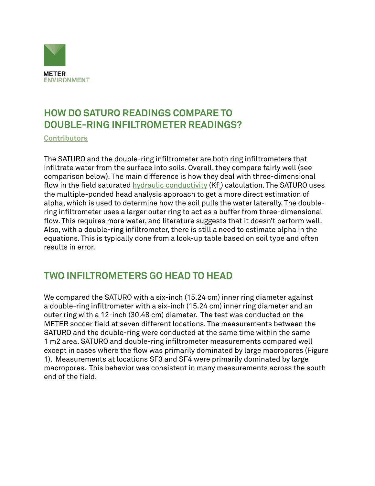

## **HOW DO SATURO READINGS COMPARE TO DOUBLE-RING INFILTROMETER READINGS?**

**[Contributors](https://www.metergroup.com/meter_knowledgebase/about-us-meter-environment/)**

The SATURO and the double-ring infiltrometer are both ring infiltrometers that infiltrate water from the surface into soils. Overall, they compare fairly well (see comparison below). The main difference is how they deal with three-dimensional flow in the field saturated <u>hydraulic conductivity</u> (Kf<sub>s</sub>) calculation. The SATURO uses the multiple-ponded head analysis approach to get a more direct estimation of alpha, which is used to determine how the soil pulls the water laterally. The doublering infiltrometer uses a larger outer ring to act as a buffer from three-dimensional flow. This requires more water, and literature suggests that it doesn't perform well. Also, with a double-ring infiltrometer, there is still a need to estimate alpha in the equations. This is typically done from a look-up table based on soil type and often results in error.

## **TWO INFILTROMETERS GO HEAD TO HEAD**

We compared the SATURO with a six-inch (15.24 cm) inner ring diameter against a double-ring infiltrometer with a six-inch (15.24 cm) inner ring diameter and an outer ring with a 12-inch (30.48 cm) diameter. The test was conducted on the METER soccer field at seven different locations. The measurements between the SATURO and the double-ring were conducted at the same time within the same 1 m2 area. SATURO and double-ring infiltrometer measurements compared well except in cases where the flow was primarily dominated by large macropores (Figure 1). Measurements at locations SF3 and SF4 were primarily dominated by large macropores. This behavior was consistent in many measurements across the south end of the field.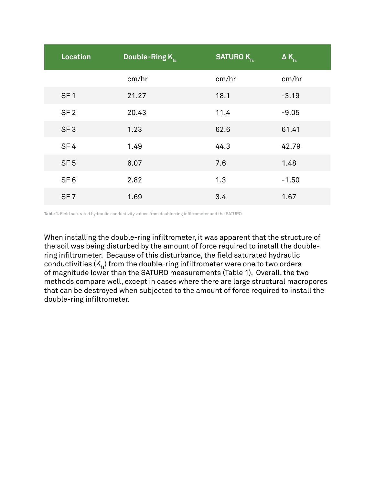| Location        | Double-Ring K. | <b>SATUROK</b> <sub>fs</sub> | $\Delta K_{f_s}$ |
|-----------------|----------------|------------------------------|------------------|
|                 | cm/hr          | cm/hr                        | cm/hr            |
| SF <sub>1</sub> | 21.27          | 18.1                         | $-3.19$          |
| SF <sub>2</sub> | 20.43          | 11.4                         | $-9.05$          |
| SF <sub>3</sub> | 1.23           | 62.6                         | 61.41            |
| SF <sub>4</sub> | 1.49           | 44.3                         | 42.79            |
| SF <sub>5</sub> | 6.07           | 7.6                          | 1.48             |
| SF <sub>6</sub> | 2.82           | 1.3                          | $-1.50$          |
| SF <sub>7</sub> | 1.69           | 3.4                          | 1.67             |

Table 1. Field saturated hydraulic conductivity values from double-ring infiltrometer and the SATURO

When installing the double-ring infiltrometer, it was apparent that the structure of the soil was being disturbed by the amount of force required to install the doublering infiltrometer. Because of this disturbance, the field saturated hydraulic conductivities  $(K_{f_n})$  from the double-ring infiltrometer were one to two orders of magnitude lower than the SATURO measurements (Table 1). Overall, the two methods compare well, except in cases where there are large structural macropores that can be destroyed when subjected to the amount of force required to install the double-ring infiltrometer.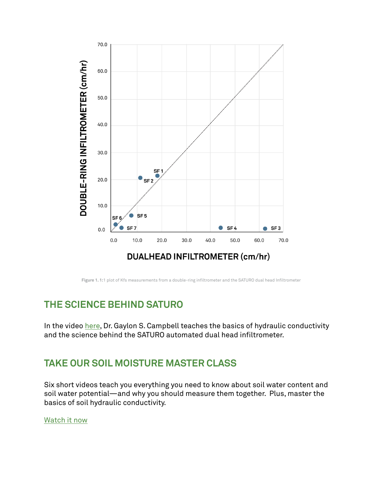

**Figure 1. 1:**1 plot of Kfs measurements from a double-ring infiltrometer and the SATURO dual head Infiltrometer

# **THE SCIENCE BEHIND SATURO**

In the video [here](https://www.metergroup.com/environment/events/hydrology-101-the-science-behind-the-measurement/), Dr. Gaylon S. Campbell teaches the basics of hydraulic conductivity and the science behind the SATURO automated dual head infiltrometer.

#### **TAKE OUR SOIL MOISTURE MASTER CLASS**

Six short videos teach you everything you need to know about soil water content and soil water potential—and why you should measure them together. Plus, master the basics of soil hydraulic conductivity.

[Watch it now](https://www.metergroup.com/environment/master-class/)